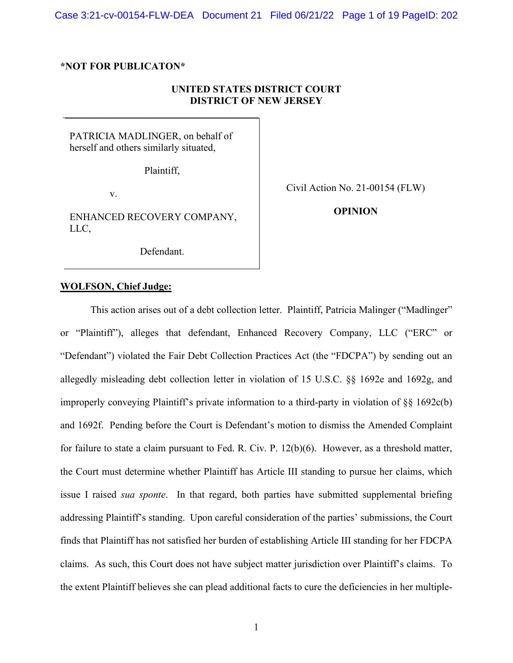### **\*NOT FOR PUBLICATON\***

# **UNITED STATES DISTRICT COURT DISTRICT OF NEW JERSEY**

PATRICIA MADLINGER, on behalf of herself and others similarly situated,

Plaintiff,

\_\_\_\_\_\_\_\_\_\_\_\_\_\_\_\_\_\_\_\_\_\_\_\_\_\_\_\_\_\_\_\_\_\_\_\_\_\_\_

v.

ENHANCED RECOVERY COMPANY, LLC,

Civil Action No. 21-00154 (FLW)

**OPINION**

Defendant.

### **WOLFSON, Chief Judge:**

This action arises out of a debt collection letter. Plaintiff, Patricia Malinger ("Madlinger" or "Plaintiff"), alleges that defendant, Enhanced Recovery Company, LLC ("ERC" or "Defendant") violated the Fair Debt Collection Practices Act (the "FDCPA") by sending out an allegedly misleading debt collection letter in violation of 15 U.S.C. §§ 1692e and 1692g, and improperly conveying Plaintiff's private information to a third-party in violation of §§ 1692c(b) and 1692f. Pending before the Court is Defendant's motion to dismiss the Amended Complaint for failure to state a claim pursuant to Fed. R. Civ. P. 12(b)(6). However, as a threshold matter, the Court must determine whether Plaintiff has Article III standing to pursue her claims, which issue I raised *sua sponte*. In that regard, both parties have submitted supplemental briefing addressing Plaintiff's standing. Upon careful consideration of the parties' submissions, the Court finds that Plaintiff has not satisfied her burden of establishing Article III standing for her FDCPA claims. As such, this Court does not have subject matter jurisdiction over Plaintiff's claims. To the extent Plaintiff believes she can plead additional facts to cure the deficiencies in her multiple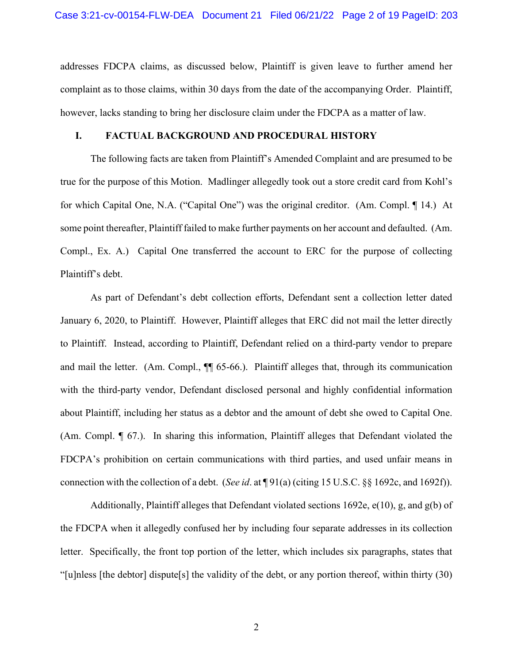addresses FDCPA claims, as discussed below, Plaintiff is given leave to further amend her complaint as to those claims, within 30 days from the date of the accompanying Order. Plaintiff, however, lacks standing to bring her disclosure claim under the FDCPA as a matter of law.

## **I. FACTUAL BACKGROUND AND PROCEDURAL HISTORY**

The following facts are taken from Plaintiff's Amended Complaint and are presumed to be true for the purpose of this Motion. Madlinger allegedly took out a store credit card from Kohl's for which Capital One, N.A. ("Capital One") was the original creditor. (Am. Compl. ¶ 14.) At some point thereafter, Plaintiff failed to make further payments on her account and defaulted. (Am. Compl., Ex. A.) Capital One transferred the account to ERC for the purpose of collecting Plaintiff's debt.

As part of Defendant's debt collection efforts, Defendant sent a collection letter dated January 6, 2020, to Plaintiff. However, Plaintiff alleges that ERC did not mail the letter directly to Plaintiff. Instead, according to Plaintiff, Defendant relied on a third-party vendor to prepare and mail the letter. (Am. Compl.,  $\P$  65-66.). Plaintiff alleges that, through its communication with the third-party vendor, Defendant disclosed personal and highly confidential information about Plaintiff, including her status as a debtor and the amount of debt she owed to Capital One. (Am. Compl. ¶ 67.). In sharing this information, Plaintiff alleges that Defendant violated the FDCPA's prohibition on certain communications with third parties, and used unfair means in connection with the collection of a debt. (*See id*. at ¶ 91(a) (citing 15 U.S.C. §§ 1692c, and 1692f)).

Additionally, Plaintiff alleges that Defendant violated sections 1692e, e(10), g, and g(b) of the FDCPA when it allegedly confused her by including four separate addresses in its collection letter. Specifically, the front top portion of the letter, which includes six paragraphs, states that "[u]nless [the debtor] dispute[s] the validity of the debt, or any portion thereof, within thirty (30)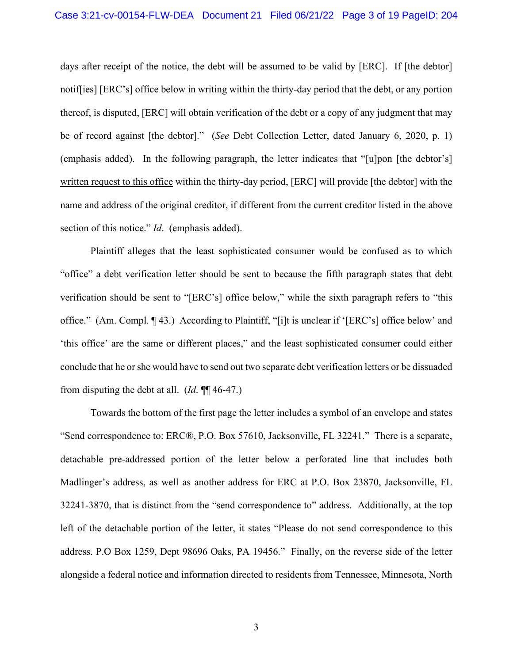days after receipt of the notice, the debt will be assumed to be valid by [ERC]. If [the debtor] notif[ies] [ERC's] office below in writing within the thirty-day period that the debt, or any portion thereof, is disputed, [ERC] will obtain verification of the debt or a copy of any judgment that may be of record against [the debtor]." (*See* Debt Collection Letter, dated January 6, 2020, p. 1) (emphasis added). In the following paragraph, the letter indicates that "[u]pon [the debtor's] written request to this office within the thirty-day period, [ERC] will provide [the debtor] with the name and address of the original creditor, if different from the current creditor listed in the above section of this notice." *Id*. (emphasis added).

Plaintiff alleges that the least sophisticated consumer would be confused as to which "office" a debt verification letter should be sent to because the fifth paragraph states that debt verification should be sent to "[ERC's] office below," while the sixth paragraph refers to "this office." (Am. Compl. ¶ 43.) According to Plaintiff, "[i]t is unclear if '[ERC's] office below' and 'this office' are the same or different places," and the least sophisticated consumer could either conclude that he or she would have to send out two separate debt verification letters or be dissuaded from disputing the debt at all. (*Id*. ¶¶ 46-47.)

Towards the bottom of the first page the letter includes a symbol of an envelope and states "Send correspondence to: ERC®, P.O. Box 57610, Jacksonville, FL 32241." There is a separate, detachable pre-addressed portion of the letter below a perforated line that includes both Madlinger's address, as well as another address for ERC at P.O. Box 23870, Jacksonville, FL 32241-3870, that is distinct from the "send correspondence to" address. Additionally, at the top left of the detachable portion of the letter, it states "Please do not send correspondence to this address. P.O Box 1259, Dept 98696 Oaks, PA 19456." Finally, on the reverse side of the letter alongside a federal notice and information directed to residents from Tennessee, Minnesota, North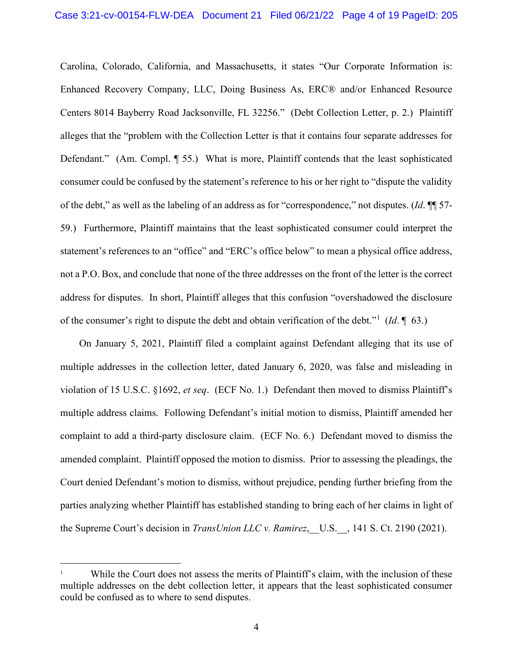Carolina, Colorado, California, and Massachusetts, it states "Our Corporate Information is: Enhanced Recovery Company, LLC, Doing Business As, ERC® and/or Enhanced Resource Centers 8014 Bayberry Road Jacksonville, FL 32256." (Debt Collection Letter, p. 2.) Plaintiff alleges that the "problem with the Collection Letter is that it contains four separate addresses for Defendant." (Am. Compl. ¶ 55.) What is more, Plaintiff contends that the least sophisticated consumer could be confused by the statement's reference to his or her right to "dispute the validity of the debt," as well as the labeling of an address as for "correspondence," not disputes. (*Id*. ¶¶ 57- 59.) Furthermore, Plaintiff maintains that the least sophisticated consumer could interpret the statement's references to an "office" and "ERC's office below" to mean a physical office address, not a P.O. Box, and conclude that none of the three addresses on the front of the letter is the correct address for disputes. In short, Plaintiff alleges that this confusion "overshadowed the disclosure of the consumer's right to dispute the debt and obtain verification of the debt."[1](#page-3-0) (*Id*. ¶ 63.)

On January 5, 2021, Plaintiff filed a complaint against Defendant alleging that its use of multiple addresses in the collection letter, dated January 6, 2020, was false and misleading in violation of 15 U.S.C. §1692, *et seq*. (ECF No. 1.) Defendant then moved to dismiss Plaintiff's multiple address claims. Following Defendant's initial motion to dismiss, Plaintiff amended her complaint to add a third-party disclosure claim. (ECF No. 6.) Defendant moved to dismiss the amended complaint. Plaintiff opposed the motion to dismiss. Prior to assessing the pleadings, the Court denied Defendant's motion to dismiss, without prejudice, pending further briefing from the parties analyzing whether Plaintiff has established standing to bring each of her claims in light of the Supreme Court's decision in *TransUnion LLC v. Ramirez*, U.S., 141 S. Ct. 2190 (2021).

<span id="page-3-0"></span>While the Court does not assess the merits of Plaintiff's claim, with the inclusion of these multiple addresses on the debt collection letter, it appears that the least sophisticated consumer could be confused as to where to send disputes.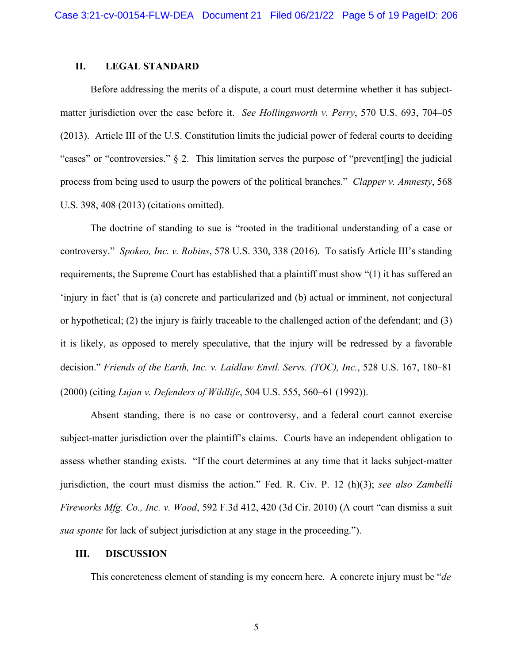## **II. LEGAL STANDARD**

Before addressing the merits of a dispute, a court must determine whether it has subjectmatter jurisdiction over the case before it. *See Hollingsworth v. Perry*, 570 U.S. 693, 704–05 (2013). Article III of the U.S. Constitution limits the judicial power of federal courts to deciding "cases" or "controversies." § 2. This limitation serves the purpose of "prevent[ing] the judicial process from being used to usurp the powers of the political branches." *Clapper v. Amnesty*, 568 U.S. 398, 408 (2013) (citations omitted).

The doctrine of standing to sue is "rooted in the traditional understanding of a case or controversy." *Spokeo, Inc. v. Robins*, 578 U.S. 330, 338 (2016). To satisfy Article III's standing requirements, the Supreme Court has established that a plaintiff must show "(1) it has suffered an 'injury in fact' that is (a) concrete and particularized and (b) actual or imminent, not conjectural or hypothetical; (2) the injury is fairly traceable to the challenged action of the defendant; and (3) it is likely, as opposed to merely speculative, that the injury will be redressed by a favorable decision." *Friends of the Earth, Inc. v. Laidlaw Envtl. Servs. (TOC), Inc.*, 528 U.S. 167, 180–81 (2000) (citing *Lujan v. Defenders of Wildlife*, 504 U.S. 555, 560–61 (1992)).

Absent standing, there is no case or controversy, and a federal court cannot exercise subject-matter jurisdiction over the plaintiff's claims. Courts have an independent obligation to assess whether standing exists. "If the court determines at any time that it lacks subject-matter jurisdiction, the court must dismiss the action." Fed. R. Civ. P. 12 (h)(3); *see also Zambelli Fireworks Mfg. Co., Inc. v. Wood*, 592 F.3d 412, 420 (3d Cir. 2010) (A court "can dismiss a suit *sua sponte* for lack of subject jurisdiction at any stage in the proceeding.").

### **III. DISCUSSION**

This concreteness element of standing is my concern here. A concrete injury must be "*de*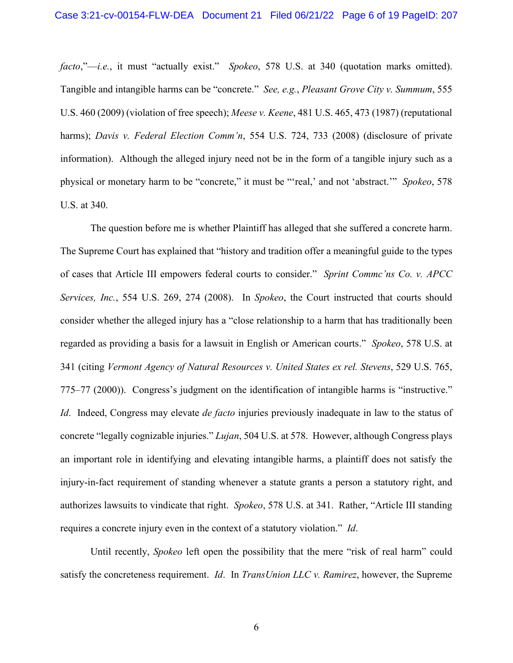*facto*,"—*i.e.*, it must "actually exist." *Spokeo*, 578 U.S. at 340 (quotation marks omitted). Tangible and intangible harms can be "concrete." *See, e.g.*, *Pleasant Grove City v. Summum*, 555 U.S. 460 (2009) (violation of free speech); *Meese v. Keene*, 481 U.S. 465, 473 (1987) (reputational harms); *Davis v. Federal Election Comm'n*, 554 U.S. 724, 733 (2008) (disclosure of private information). Although the alleged injury need not be in the form of a tangible injury such as a physical or monetary harm to be "concrete," it must be "'real,' and not 'abstract.'" *Spokeo*, 578 U.S. at 340.

The question before me is whether Plaintiff has alleged that she suffered a concrete harm. The Supreme Court has explained that "history and tradition offer a meaningful guide to the types of cases that Article III empowers federal courts to consider." *Sprint Commc'ns Co. v. APCC Services, Inc.*, 554 U.S. 269, 274 (2008). In *Spokeo*, the Court instructed that courts should consider whether the alleged injury has a "close relationship to a harm that has traditionally been regarded as providing a basis for a lawsuit in English or American courts." *Spokeo*, 578 U.S. at 341 (citing *Vermont Agency of Natural Resources v. United States ex rel. Stevens*, 529 U.S. 765, 775–77 (2000)). Congress's judgment on the identification of intangible harms is "instructive." *Id*. Indeed, Congress may elevate *de facto* injuries previously inadequate in law to the status of concrete "legally cognizable injuries." *Lujan*, 504 U.S. at 578. However, although Congress plays an important role in identifying and elevating intangible harms, a plaintiff does not satisfy the injury-in-fact requirement of standing whenever a statute grants a person a statutory right, and authorizes lawsuits to vindicate that right. *Spokeo*, 578 U.S. at 341. Rather, "Article III standing requires a concrete injury even in the context of a statutory violation." *Id*.

Until recently, *Spokeo* left open the possibility that the mere "risk of real harm" could satisfy the concreteness requirement. *Id*. In *TransUnion LLC v. Ramirez*, however, the Supreme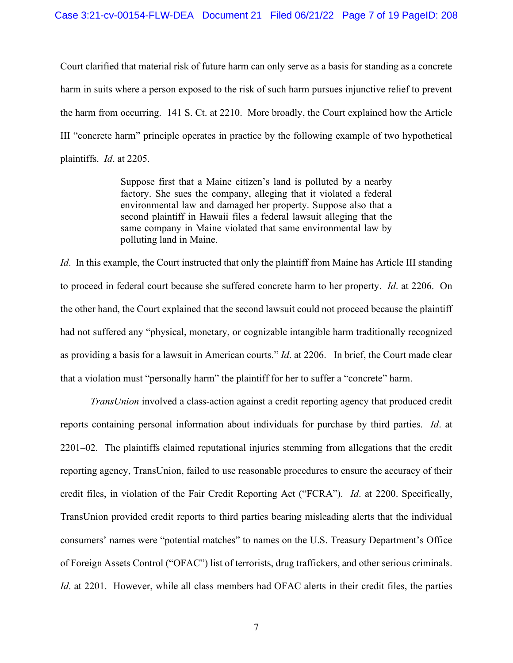Court clarified that material risk of future harm can only serve as a basis for standing as a concrete harm in suits where a person exposed to the risk of such harm pursues injunctive relief to prevent the harm from occurring. 141 S. Ct. at 2210. More broadly, the Court explained how the Article III "concrete harm" principle operates in practice by the following example of two hypothetical plaintiffs. *Id*. at 2205.

> Suppose first that a Maine citizen's land is polluted by a nearby factory. She sues the company, alleging that it violated a federal environmental law and damaged her property. Suppose also that a second plaintiff in Hawaii files a federal lawsuit alleging that the same company in Maine violated that same environmental law by polluting land in Maine.

*Id*. In this example, the Court instructed that only the plaintiff from Maine has Article III standing to proceed in federal court because she suffered concrete harm to her property. *Id*. at 2206. On the other hand, the Court explained that the second lawsuit could not proceed because the plaintiff had not suffered any "physical, monetary, or cognizable intangible harm traditionally recognized as providing a basis for a lawsuit in American courts." *Id*. at 2206. In brief, the Court made clear that a violation must "personally harm" the plaintiff for her to suffer a "concrete" harm.

*TransUnion* involved a class-action against a credit reporting agency that produced credit reports containing personal information about individuals for purchase by third parties. *Id*. at 2201–02. The plaintiffs claimed reputational injuries stemming from allegations that the credit reporting agency, TransUnion, failed to use reasonable procedures to ensure the accuracy of their credit files, in violation of the Fair Credit Reporting Act ("FCRA"). *Id*. at 2200. Specifically, TransUnion provided credit reports to third parties bearing misleading alerts that the individual consumers' names were "potential matches" to names on the U.S. Treasury Department's Office of Foreign Assets Control ("OFAC") list of terrorists, drug traffickers, and other serious criminals. *Id.* at 2201. However, while all class members had OFAC alerts in their credit files, the parties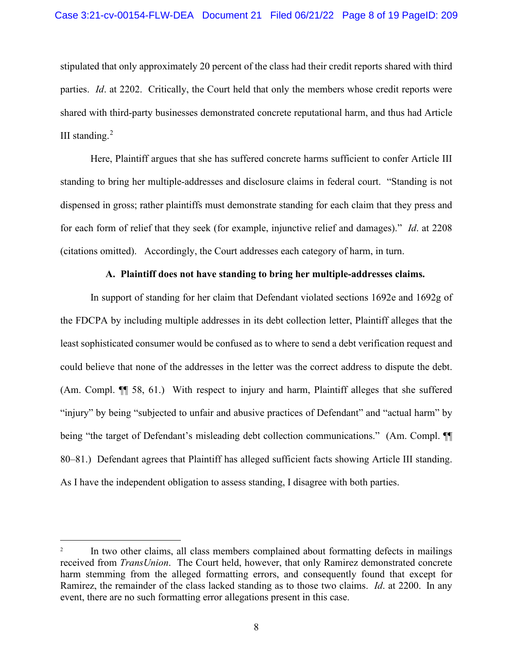stipulated that only approximately 20 percent of the class had their credit reports shared with third parties. *Id*. at 2202. Critically, the Court held that only the members whose credit reports were shared with third-party businesses demonstrated concrete reputational harm, and thus had Article III standing. $2$ 

Here, Plaintiff argues that she has suffered concrete harms sufficient to confer Article III standing to bring her multiple-addresses and disclosure claims in federal court. "Standing is not dispensed in gross; rather plaintiffs must demonstrate standing for each claim that they press and for each form of relief that they seek (for example, injunctive relief and damages)." *Id*. at 2208 (citations omitted). Accordingly, the Court addresses each category of harm, in turn.

### **A. Plaintiff does not have standing to bring her multiple-addresses claims.**

In support of standing for her claim that Defendant violated sections 1692e and 1692g of the FDCPA by including multiple addresses in its debt collection letter, Plaintiff alleges that the least sophisticated consumer would be confused as to where to send a debt verification request and could believe that none of the addresses in the letter was the correct address to dispute the debt. (Am. Compl. ¶¶ 58, 61.) With respect to injury and harm, Plaintiff alleges that she suffered "injury" by being "subjected to unfair and abusive practices of Defendant" and "actual harm" by being "the target of Defendant's misleading debt collection communications." (Am. Compl. ¶ 80–81.) Defendant agrees that Plaintiff has alleged sufficient facts showing Article III standing. As I have the independent obligation to assess standing, I disagree with both parties.

<span id="page-7-0"></span><sup>&</sup>lt;sup>2</sup> In two other claims, all class members complained about formatting defects in mailings received from *TransUnion*. The Court held, however, that only Ramirez demonstrated concrete harm stemming from the alleged formatting errors, and consequently found that except for Ramirez, the remainder of the class lacked standing as to those two claims. *Id*. at 2200. In any event, there are no such formatting error allegations present in this case.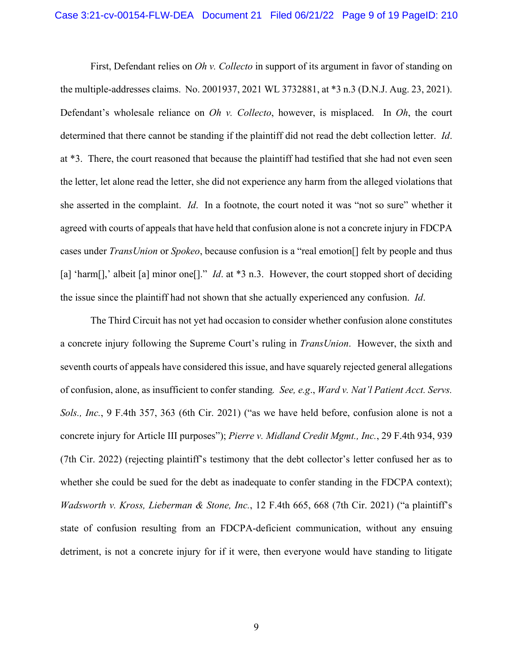First, Defendant relies on *Oh v. Collecto* in support of its argument in favor of standing on the multiple-addresses claims. No. 2001937, 2021 WL 3732881, at \*3 n.3 (D.N.J. Aug. 23, 2021). Defendant's wholesale reliance on *Oh v. Collecto*, however, is misplaced. In *Oh*, the court determined that there cannot be standing if the plaintiff did not read the debt collection letter. *Id*. at \*3. There, the court reasoned that because the plaintiff had testified that she had not even seen the letter, let alone read the letter, she did not experience any harm from the alleged violations that she asserted in the complaint. *Id*. In a footnote, the court noted it was "not so sure" whether it agreed with courts of appeals that have held that confusion alone is not a concrete injury in FDCPA cases under *TransUnion* or *Spokeo*, because confusion is a "real emotion[] felt by people and thus [a] 'harm<sup>[]</sup>,' albeit [a] minor one<sup>[]</sup>." *Id.* at \*3 n.3. However, the court stopped short of deciding the issue since the plaintiff had not shown that she actually experienced any confusion. *Id*.

The Third Circuit has not yet had occasion to consider whether confusion alone constitutes a concrete injury following the Supreme Court's ruling in *TransUnion*. However, the sixth and seventh courts of appeals have considered this issue, and have squarely rejected general allegations of confusion, alone, as insufficient to confer standing*. See, e.g*., *Ward v. Nat'l Patient Acct. Servs. Sols., Inc.*, 9 F.4th 357, 363 (6th Cir. 2021) ("as we have held before, confusion alone is not a concrete injury for Article III purposes"); *Pierre v. Midland Credit Mgmt., Inc.*, 29 F.4th 934, 939 (7th Cir. 2022) (rejecting plaintiff's testimony that the debt collector's letter confused her as to whether she could be sued for the debt as inadequate to confer standing in the FDCPA context); *Wadsworth v. Kross, Lieberman & Stone, Inc.*, 12 F.4th 665, 668 (7th Cir. 2021) ("a plaintiff's state of confusion resulting from an FDCPA-deficient communication, without any ensuing detriment, is not a concrete injury for if it were, then everyone would have standing to litigate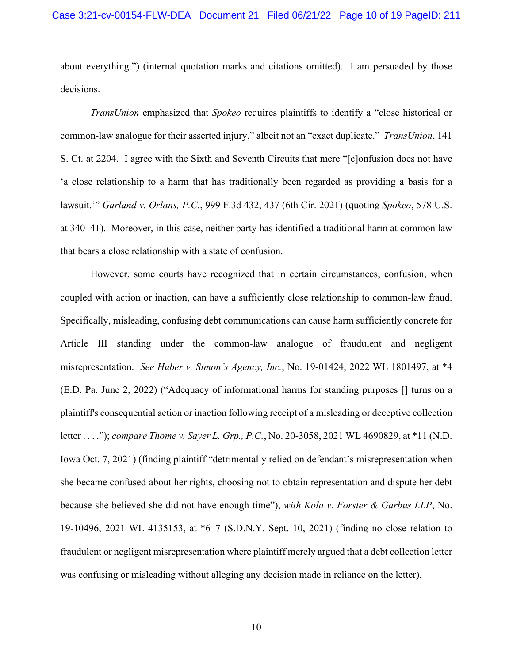about everything.") (internal quotation marks and citations omitted). I am persuaded by those decisions.

*TransUnion* emphasized that *Spokeo* requires plaintiffs to identify a "close historical or common-law analogue for their asserted injury," albeit not an "exact duplicate." *TransUnion*, 141 S. Ct. at 2204. I agree with the Sixth and Seventh Circuits that mere "[c]onfusion does not have 'a close relationship to a harm that has traditionally been regarded as providing a basis for a lawsuit.'" *Garland v. Orlans, P.C.*, 999 F.3d 432, 437 (6th Cir. 2021) (quoting *Spokeo*, 578 U.S. at 340–41). Moreover, in this case, neither party has identified a traditional harm at common law that bears a close relationship with a state of confusion.

However, some courts have recognized that in certain circumstances, confusion, when coupled with action or inaction, can have a sufficiently close relationship to common-law fraud. Specifically, misleading, confusing debt communications can cause harm sufficiently concrete for Article III standing under the common-law analogue of fraudulent and negligent misrepresentation. *See Huber v. Simon's Agency, Inc.*, No. 19-01424, 2022 WL 1801497, at \*4 (E.D. Pa. June 2, 2022) ("Adequacy of informational harms for standing purposes [] turns on a plaintiff's consequential action or inaction following receipt of a misleading or deceptive collection letter . . . ."); *compare Thome v. Sayer L. Grp., P.C.*, No. 20-3058, 2021 WL 4690829, at \*11 (N.D. Iowa Oct. 7, 2021) (finding plaintiff "detrimentally relied on defendant's misrepresentation when she became confused about her rights, choosing not to obtain representation and dispute her debt because she believed she did not have enough time"), *with Kola v. Forster & Garbus LLP*, No. 19-10496, 2021 WL 4135153, at \*6–7 (S.D.N.Y. Sept. 10, 2021) (finding no close relation to fraudulent or negligent misrepresentation where plaintiff merely argued that a debt collection letter was confusing or misleading without alleging any decision made in reliance on the letter).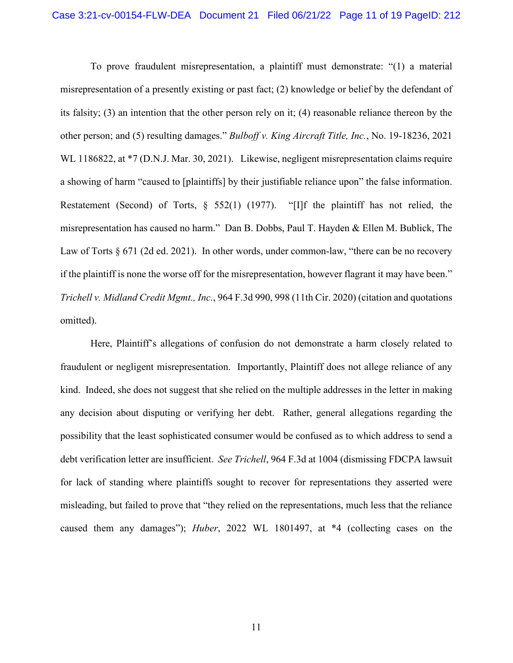To prove fraudulent misrepresentation, a plaintiff must demonstrate: "(1) a material misrepresentation of a presently existing or past fact; (2) knowledge or belief by the defendant of its falsity; (3) an intention that the other person rely on it; (4) reasonable reliance thereon by the other person; and (5) resulting damages." *Bulboff v. King Aircraft Title, Inc.*, No. 19-18236, 2021 WL 1186822, at  $*7$  (D.N.J. Mar. 30, 2021). Likewise, negligent misrepresentation claims require a showing of harm "caused to [plaintiffs] by their justifiable reliance upon" the false information. Restatement (Second) of Torts, § 552(1) (1977). "[I]f the plaintiff has not relied, the misrepresentation has caused no harm." Dan B. Dobbs, Paul T. Hayden & Ellen M. Bublick, The Law of Torts § 671 (2d ed. 2021). In other words, under common-law, "there can be no recovery if the plaintiff is none the worse off for the misrepresentation, however flagrant it may have been." *Trichell v. Midland Credit Mgmt., Inc.*, 964 F.3d 990, 998 (11th Cir. 2020) (citation and quotations omitted).

Here, Plaintiff's allegations of confusion do not demonstrate a harm closely related to fraudulent or negligent misrepresentation. Importantly, Plaintiff does not allege reliance of any kind. Indeed, she does not suggest that she relied on the multiple addresses in the letter in making any decision about disputing or verifying her debt. Rather, general allegations regarding the possibility that the least sophisticated consumer would be confused as to which address to send a debt verification letter are insufficient. *See Trichell*, 964 F.3d at 1004 (dismissing FDCPA lawsuit for lack of standing where plaintiffs sought to recover for representations they asserted were misleading, but failed to prove that "they relied on the representations, much less that the reliance caused them any damages"); *Huber*, 2022 WL 1801497, at \*4 (collecting cases on the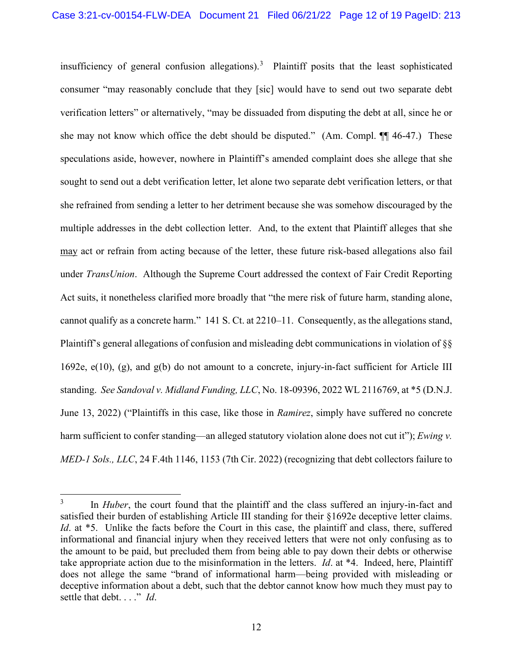insufficiency of general confusion allegations). [3](#page-11-0) Plaintiff posits that the least sophisticated consumer "may reasonably conclude that they [sic] would have to send out two separate debt verification letters" or alternatively, "may be dissuaded from disputing the debt at all, since he or she may not know which office the debt should be disputed." (Am. Compl. ¶¶ 46-47.) These speculations aside, however, nowhere in Plaintiff's amended complaint does she allege that she sought to send out a debt verification letter, let alone two separate debt verification letters, or that she refrained from sending a letter to her detriment because she was somehow discouraged by the multiple addresses in the debt collection letter. And, to the extent that Plaintiff alleges that she may act or refrain from acting because of the letter, these future risk-based allegations also fail under *TransUnion*. Although the Supreme Court addressed the context of Fair Credit Reporting Act suits, it nonetheless clarified more broadly that "the mere risk of future harm, standing alone, cannot qualify as a concrete harm." 141 S. Ct. at 2210–11. Consequently, as the allegations stand, Plaintiff's general allegations of confusion and misleading debt communications in violation of §§ 1692e, e(10), (g), and g(b) do not amount to a concrete, injury-in-fact sufficient for Article III standing. *See Sandoval v. Midland Funding, LLC*, No. 18-09396, 2022 WL 2116769, at \*5 (D.N.J. June 13, 2022) ("Plaintiffs in this case, like those in *Ramirez*, simply have suffered no concrete harm sufficient to confer standing—an alleged statutory violation alone does not cut it"); *Ewing v. MED-1 Sols., LLC*, 24 F.4th 1146, 1153 (7th Cir. 2022) (recognizing that debt collectors failure to

<span id="page-11-0"></span><sup>&</sup>lt;sup>3</sup> In *Huber*, the court found that the plaintiff and the class suffered an injury-in-fact and satisfied their burden of establishing Article III standing for their §1692e deceptive letter claims. *Id.* at \*5. Unlike the facts before the Court in this case, the plaintiff and class, there, suffered informational and financial injury when they received letters that were not only confusing as to the amount to be paid, but precluded them from being able to pay down their debts or otherwise take appropriate action due to the misinformation in the letters. *Id*. at \*4. Indeed, here, Plaintiff does not allege the same "brand of informational harm—being provided with misleading or deceptive information about a debt, such that the debtor cannot know how much they must pay to settle that debt. . . ." *Id*.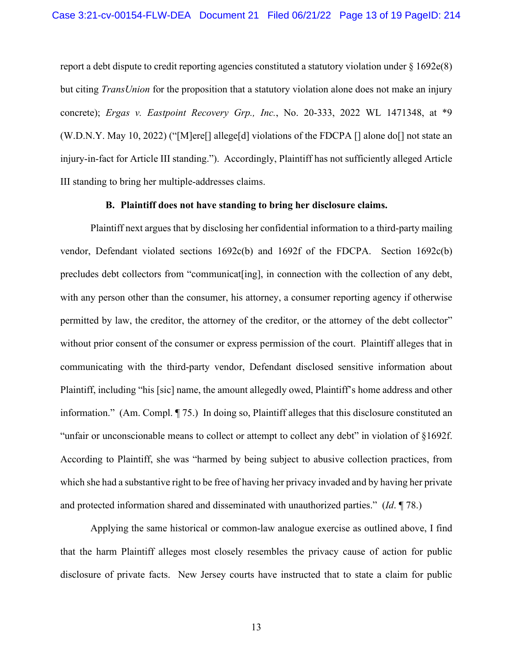report a debt dispute to credit reporting agencies constituted a statutory violation under  $\S 1692e(8)$ but citing *TransUnion* for the proposition that a statutory violation alone does not make an injury concrete); *Ergas v. Eastpoint Recovery Grp., Inc.*, No. 20-333, 2022 WL 1471348, at \*9 (W.D.N.Y. May 10, 2022) ("[M]ere[] allege[d] violations of the FDCPA [] alone do[] not state an injury-in-fact for Article III standing."). Accordingly, Plaintiff has not sufficiently alleged Article III standing to bring her multiple-addresses claims.

# **B. Plaintiff does not have standing to bring her disclosure claims.**

Plaintiff next argues that by disclosing her confidential information to a third-party mailing vendor, Defendant violated sections 1692c(b) and 1692f of the FDCPA. Section 1692c(b) precludes debt collectors from "communicat[ing], in connection with the collection of any debt, with any person other than the consumer, his attorney, a consumer reporting agency if otherwise permitted by law, the creditor, the attorney of the creditor, or the attorney of the debt collector" without prior consent of the consumer or express permission of the court. Plaintiff alleges that in communicating with the third-party vendor, Defendant disclosed sensitive information about Plaintiff, including "his [sic] name, the amount allegedly owed, Plaintiff's home address and other information." (Am. Compl. ¶ 75.) In doing so, Plaintiff alleges that this disclosure constituted an "unfair or unconscionable means to collect or attempt to collect any debt" in violation of §1692f. According to Plaintiff, she was "harmed by being subject to abusive collection practices, from which she had a substantive right to be free of having her privacy invaded and by having her private and protected information shared and disseminated with unauthorized parties." (*Id*. ¶ 78.)

Applying the same historical or common-law analogue exercise as outlined above, I find that the harm Plaintiff alleges most closely resembles the privacy cause of action for public disclosure of private facts. New Jersey courts have instructed that to state a claim for public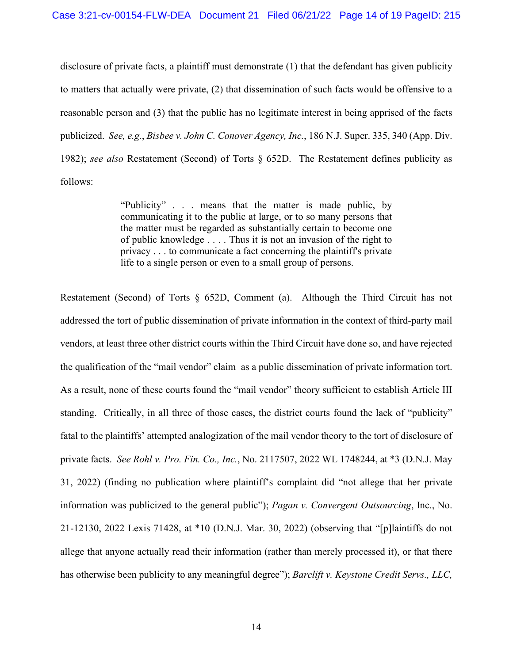disclosure of private facts, a plaintiff must demonstrate (1) that the defendant has given publicity to matters that actually were private, (2) that dissemination of such facts would be offensive to a reasonable person and (3) that the public has no legitimate interest in being apprised of the facts publicized. *See, e.g.*, *Bisbee v. John C. Conover Agency, Inc.*, 186 N.J. Super. 335, 340 (App. Div. 1982); *see also* Restatement (Second) of Torts § 652D. The Restatement defines publicity as follows:

> "Publicity" . . . means that the matter is made public, by communicating it to the public at large, or to so many persons that the matter must be regarded as substantially certain to become one of public knowledge . . . . Thus it is not an invasion of the right to privacy . . . to communicate a fact concerning the plaintiff's private life to a single person or even to a small group of persons.

Restatement (Second) of Torts § 652D, Comment (a). Although the Third Circuit has not addressed the tort of public dissemination of private information in the context of third-party mail vendors, at least three other district courts within the Third Circuit have done so, and have rejected the qualification of the "mail vendor" claim as a public dissemination of private information tort. As a result, none of these courts found the "mail vendor" theory sufficient to establish Article III standing. Critically, in all three of those cases, the district courts found the lack of "publicity" fatal to the plaintiffs' attempted analogization of the mail vendor theory to the tort of disclosure of private facts. *See Rohl v. Pro. Fin. Co., Inc.*, No. 2117507, 2022 WL 1748244, at \*3 (D.N.J. May 31, 2022) (finding no publication where plaintiff's complaint did "not allege that her private information was publicized to the general public"); *Pagan v. Convergent Outsourcing*, Inc., No. 21-12130, 2022 Lexis 71428, at \*10 (D.N.J. Mar. 30, 2022) (observing that "[p]laintiffs do not allege that anyone actually read their information (rather than merely processed it), or that there has otherwise been publicity to any meaningful degree"); *Barclift v. Keystone Credit Servs., LLC,*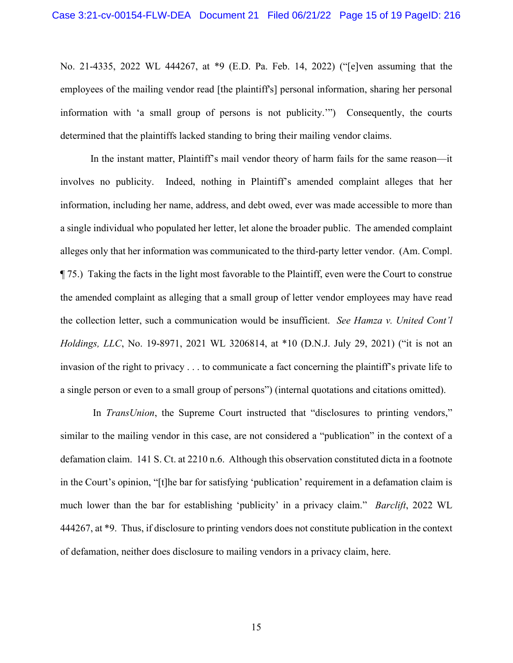No. 21-4335, 2022 WL 444267, at \*9 (E.D. Pa. Feb. 14, 2022) ("[e]ven assuming that the employees of the mailing vendor read [the plaintiff's] personal information, sharing her personal information with 'a small group of persons is not publicity.'") Consequently, the courts determined that the plaintiffs lacked standing to bring their mailing vendor claims.

In the instant matter, Plaintiff's mail vendor theory of harm fails for the same reason—it involves no publicity. Indeed, nothing in Plaintiff's amended complaint alleges that her information, including her name, address, and debt owed, ever was made accessible to more than a single individual who populated her letter, let alone the broader public. The amended complaint alleges only that her information was communicated to the third-party letter vendor. (Am. Compl. ¶ 75.) Taking the facts in the light most favorable to the Plaintiff, even were the Court to construe the amended complaint as alleging that a small group of letter vendor employees may have read the collection letter, such a communication would be insufficient. *See Hamza v. United Cont'l Holdings, LLC*, No. 19-8971, 2021 WL 3206814, at \*10 (D.N.J. July 29, 2021) ("it is not an invasion of the right to privacy . . . to communicate a fact concerning the plaintiff's private life to a single person or even to a small group of persons") (internal quotations and citations omitted).

In *TransUnion*, the Supreme Court instructed that "disclosures to printing vendors," similar to the mailing vendor in this case, are not considered a "publication" in the context of a defamation claim. 141 S. Ct. at 2210 n.6. Although this observation constituted dicta in a footnote in the Court's opinion, "[t]he bar for satisfying 'publication' requirement in a defamation claim is much lower than the bar for establishing 'publicity' in a privacy claim." *Barclift*, 2022 WL 444267, at \*9. Thus, if disclosure to printing vendors does not constitute publication in the context of defamation, neither does disclosure to mailing vendors in a privacy claim, here.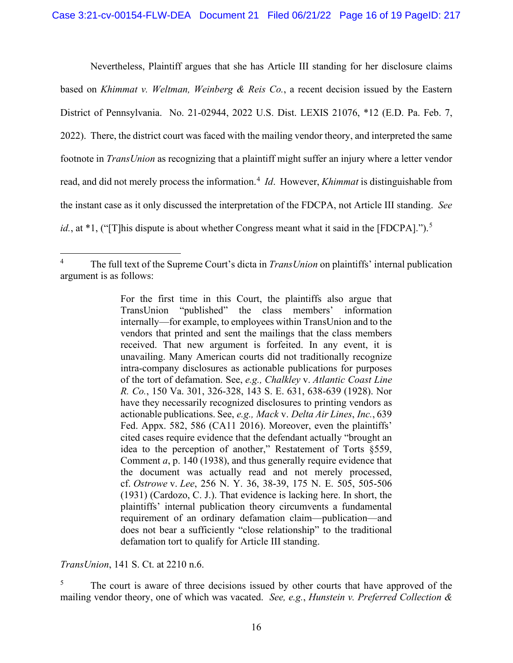Nevertheless, Plaintiff argues that she has Article III standing for her disclosure claims based on *Khimmat v. Weltman, Weinberg & Reis Co.*, a recent decision issued by the Eastern District of Pennsylvania. No. 21-02944, 2022 U.S. Dist. LEXIS 21076, \*12 (E.D. Pa. Feb. 7, 2022). There, the district court was faced with the mailing vendor theory, and interpreted the same footnote in *TransUnion* as recognizing that a plaintiff might suffer an injury where a letter vendor read, and did not merely process the information.<sup>[4](#page-15-0)</sup> *Id*. However, *Khimmat* is distinguishable from the instant case as it only discussed the interpretation of the FDCPA, not Article III standing. *See*  id., at \*1, ("[T]his dispute is about whether Congress meant what it said in the [FDCPA].").<sup>[5](#page-15-1)</sup>

*TransUnion*, 141 S. Ct. at 2210 n.6.

<span id="page-15-1"></span><sup>5</sup> The court is aware of three decisions issued by other courts that have approved of the mailing vendor theory, one of which was vacated. *See, e.g.*, *Hunstein v. Preferred Collection &* 

<span id="page-15-0"></span><sup>4</sup> The full text of the Supreme Court's dicta in *TransUnion* on plaintiffs' internal publication argument is as follows:

For the first time in this Court, the plaintiffs also argue that TransUnion "published" the class members' information internally—for example, to employees within TransUnion and to the vendors that printed and sent the mailings that the class members received. That new argument is forfeited. In any event, it is unavailing. Many American courts did not traditionally recognize intra-company disclosures as actionable publications for purposes of the tort of defamation. See, *e.g., Chalkley* v. *Atlantic Coast Line R. Co.*, 150 Va. 301, 326-328, 143 S. E. 631, 638-639 (1928). Nor have they necessarily recognized disclosures to printing vendors as actionable publications. See, *e.g., Mack* v. *Delta Air Lines*, *Inc.*, 639 Fed. Appx. 582, 586 (CA11 2016). Moreover, even the plaintiffs' cited cases require evidence that the defendant actually "brought an idea to the perception of another," Restatement of Torts §559, Comment *a*, p. 140 (1938), and thus generally require evidence that the document was actually read and not merely processed, cf. *Ostrowe* v. *Lee*, 256 N. Y. 36, 38-39, 175 N. E. 505, 505-506 (1931) (Cardozo, C. J.). That evidence is lacking here. In short, the plaintiffs' internal publication theory circumvents a fundamental requirement of an ordinary defamation claim—publication—and does not bear a sufficiently "close relationship" to the traditional defamation tort to qualify for Article III standing.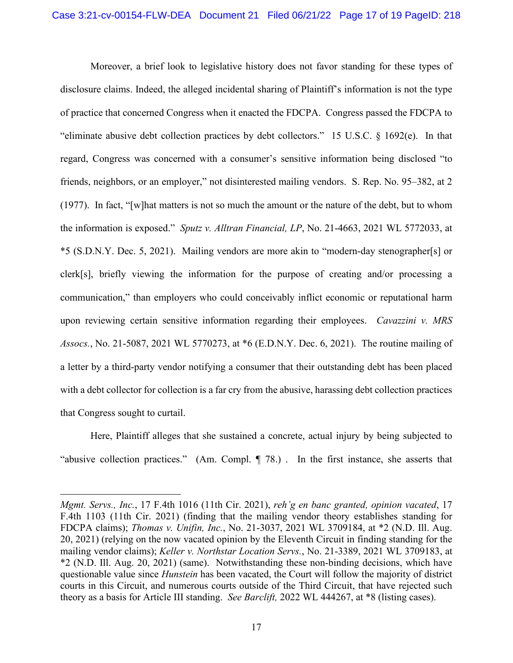Moreover, a brief look to legislative history does not favor standing for these types of disclosure claims. Indeed, the alleged incidental sharing of Plaintiff's information is not the type of practice that concerned Congress when it enacted the FDCPA. Congress passed the FDCPA to "eliminate abusive debt collection practices by debt collectors." 15 U.S.C. § 1692(e). In that regard, Congress was concerned with a consumer's sensitive information being disclosed "to friends, neighbors, or an employer," not disinterested mailing vendors. S. Rep. No. 95–382, at 2 (1977). In fact, "[w]hat matters is not so much the amount or the nature of the debt, but to whom the information is exposed." *Sputz v. Alltran Financial, LP*, No. 21-4663, 2021 WL 5772033, at \*5 (S.D.N.Y. Dec. 5, 2021). Mailing vendors are more akin to "modern-day stenographer[s] or clerk[s], briefly viewing the information for the purpose of creating and/or processing a communication," than employers who could conceivably inflict economic or reputational harm upon reviewing certain sensitive information regarding their employees. *Cavazzini v. MRS Assocs.*, No. 21-5087, 2021 WL 5770273, at \*6 (E.D.N.Y. Dec. 6, 2021). The routine mailing of a letter by a third-party vendor notifying a consumer that their outstanding debt has been placed with a debt collector for collection is a far cry from the abusive, harassing debt collection practices that Congress sought to curtail.

Here, Plaintiff alleges that she sustained a concrete, actual injury by being subjected to "abusive collection practices." (Am. Compl. ¶ 78.) . In the first instance, she asserts that

*Mgmt. Servs., Inc.*, 17 F.4th 1016 (11th Cir. 2021), *reh'g en banc granted, opinion vacated*, 17 F.4th 1103 (11th Cir. 2021) (finding that the mailing vendor theory establishes standing for FDCPA claims); *Thomas v. Unifin, Inc.*, No. 21-3037, 2021 WL 3709184, at \*2 (N.D. Ill. Aug. 20, 2021) (relying on the now vacated opinion by the Eleventh Circuit in finding standing for the mailing vendor claims); *Keller v. Northstar Location Servs.*, No. 21-3389, 2021 WL 3709183, at \*2 (N.D. Ill. Aug. 20, 2021) (same). Notwithstanding these non-binding decisions, which have questionable value since *Hunstein* has been vacated, the Court will follow the majority of district courts in this Circuit, and numerous courts outside of the Third Circuit, that have rejected such theory as a basis for Article III standing. *See Barclift,* 2022 WL 444267, at \*8 (listing cases).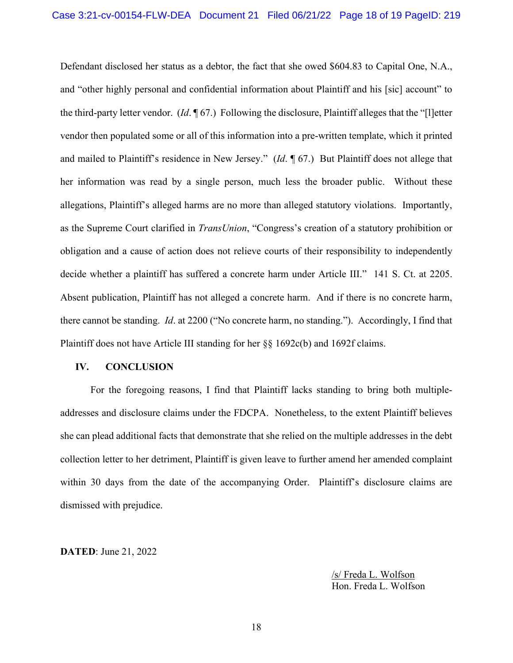Defendant disclosed her status as a debtor, the fact that she owed \$604.83 to Capital One, N.A., and "other highly personal and confidential information about Plaintiff and his [sic] account" to the third-party letter vendor. (*Id*. ¶ 67.) Following the disclosure, Plaintiff alleges that the "[l]etter vendor then populated some or all of this information into a pre-written template, which it printed and mailed to Plaintiff's residence in New Jersey." (*Id*. ¶ 67.) But Plaintiff does not allege that her information was read by a single person, much less the broader public. Without these allegations, Plaintiff's alleged harms are no more than alleged statutory violations. Importantly, as the Supreme Court clarified in *TransUnion*, "Congress's creation of a statutory prohibition or obligation and a cause of action does not relieve courts of their responsibility to independently decide whether a plaintiff has suffered a concrete harm under Article III." 141 S. Ct. at 2205. Absent publication, Plaintiff has not alleged a concrete harm. And if there is no concrete harm, there cannot be standing. *Id*. at 2200 ("No concrete harm, no standing."). Accordingly, I find that Plaintiff does not have Article III standing for her §§ 1692c(b) and 1692f claims.

### **IV. CONCLUSION**

For the foregoing reasons, I find that Plaintiff lacks standing to bring both multipleaddresses and disclosure claims under the FDCPA. Nonetheless, to the extent Plaintiff believes she can plead additional facts that demonstrate that she relied on the multiple addresses in the debt collection letter to her detriment, Plaintiff is given leave to further amend her amended complaint within 30 days from the date of the accompanying Order. Plaintiff's disclosure claims are dismissed with prejudice.

**DATED**: June 21, 2022

/s/ Freda L. Wolfson Hon. Freda L. Wolfson